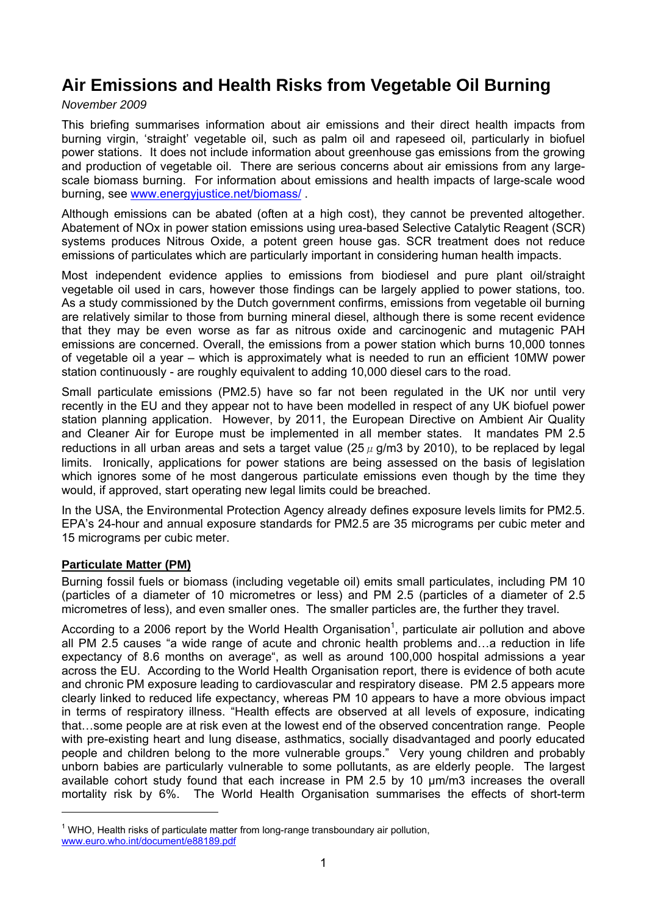# **Air Emissions and Health Risks from Vegetable Oil Burning**

# *November 2009*

This briefing summarises information about air emissions and their direct health impacts from burning virgin, 'straight' vegetable oil, such as palm oil and rapeseed oil, particularly in biofuel power stations. It does not include information about greenhouse gas emissions from the growing and production of vegetable oil. There are serious concerns about air emissions from any largescale biomass burning. For information about emissions and health impacts of large-scale wood burning, see www.energyjustice.net/biomass/ .

Although emissions can be abated (often at a high cost), they cannot be prevented altogether. Abatement of NOx in power station emissions using urea-based Selective Catalytic Reagent (SCR) systems produces Nitrous Oxide, a potent green house gas. SCR treatment does not reduce emissions of particulates which are particularly important in considering human health impacts.

Most independent evidence applies to emissions from biodiesel and pure plant oil/straight vegetable oil used in cars, however those findings can be largely applied to power stations, too. As a study commissioned by the Dutch government confirms, emissions from vegetable oil burning are relatively similar to those from burning mineral diesel, although there is some recent evidence that they may be even worse as far as nitrous oxide and carcinogenic and mutagenic PAH emissions are concerned. Overall, the emissions from a power station which burns 10,000 tonnes of vegetable oil a year – which is approximately what is needed to run an efficient 10MW power station continuously - are roughly equivalent to adding 10,000 diesel cars to the road.

Small particulate emissions (PM2.5) have so far not been regulated in the UK nor until very recently in the EU and they appear not to have been modelled in respect of any UK biofuel power station planning application. However, by 2011, the European Directive on Ambient Air Quality and Cleaner Air for Europe must be implemented in all member states. It mandates PM 2.5 reductions in all urban areas and sets a target value ( $25 \mu$  g/m3 by 2010), to be replaced by legal limits. Ironically, applications for power stations are being assessed on the basis of legislation which ignores some of he most dangerous particulate emissions even though by the time they would, if approved, start operating new legal limits could be breached.

In the USA, the Environmental Protection Agency already defines exposure levels limits for PM2.5. EPA's 24-hour and annual exposure standards for PM2.5 are 35 micrograms per cubic meter and 15 micrograms per cubic meter.

# **Particulate Matter (PM)**

 $\overline{a}$ 

Burning fossil fuels or biomass (including vegetable oil) emits small particulates, including PM 10 (particles of a diameter of 10 micrometres or less) and PM 2.5 (particles of a diameter of 2.5 micrometres of less), and even smaller ones. The smaller particles are, the further they travel.

According to a 2006 report by the World Health Organisation<sup>1</sup>, particulate air pollution and above all PM 2.5 causes "a wide range of acute and chronic health problems and…a reduction in life expectancy of 8.6 months on average", as well as around 100,000 hospital admissions a year across the EU. According to the World Health Organisation report, there is evidence of both acute and chronic PM exposure leading to cardiovascular and respiratory disease. PM 2.5 appears more clearly linked to reduced life expectancy, whereas PM 10 appears to have a more obvious impact in terms of respiratory illness. "Health effects are observed at all levels of exposure, indicating that…some people are at risk even at the lowest end of the observed concentration range. People with pre-existing heart and lung disease, asthmatics, socially disadvantaged and poorly educated people and children belong to the more vulnerable groups." Very young children and probably unborn babies are particularly vulnerable to some pollutants, as are elderly people. The largest available cohort study found that each increase in PM 2.5 by 10 μm/m3 increases the overall mortality risk by 6%. The World Health Organisation summarises the effects of short-term

 $1$  WHO, Health risks of particulate matter from long-range transboundary air pollution, www.euro.who.int/document/e88189.pdf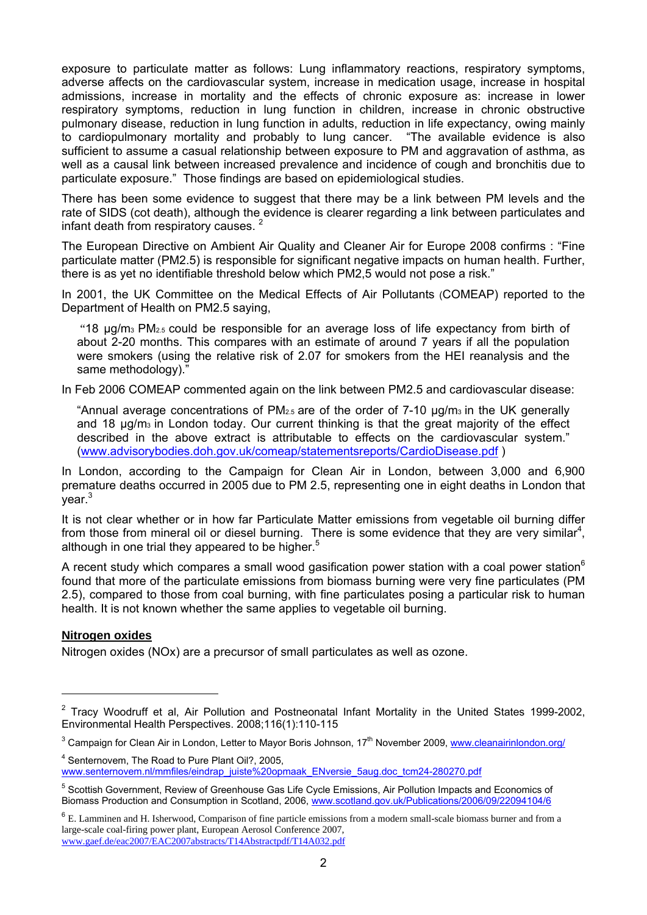exposure to particulate matter as follows: Lung inflammatory reactions, respiratory symptoms, adverse affects on the cardiovascular system, increase in medication usage, increase in hospital admissions, increase in mortality and the effects of chronic exposure as: increase in lower respiratory symptoms, reduction in lung function in children, increase in chronic obstructive pulmonary disease, reduction in lung function in adults, reduction in life expectancy, owing mainly to cardiopulmonary mortality and probably to lung cancer. "The available evidence is also sufficient to assume a casual relationship between exposure to PM and aggravation of asthma, as well as a causal link between increased prevalence and incidence of cough and bronchitis due to particulate exposure." Those findings are based on epidemiological studies.

There has been some evidence to suggest that there may be a link between PM levels and the rate of SIDS (cot death), although the evidence is clearer regarding a link between particulates and infant death from respiratory causes.<sup>2</sup>

The European Directive on Ambient Air Quality and Cleaner Air for Europe 2008 confirms : "Fine particulate matter (PM2.5) is responsible for significant negative impacts on human health. Further, there is as yet no identifiable threshold below which PM2,5 would not pose a risk."

In 2001, the UK Committee on the Medical Effects of Air Pollutants (COMEAP) reported to the Department of Health on PM2.5 saying,

 "18 μg/m3 PM2.5 could be responsible for an average loss of life expectancy from birth of about 2-20 months. This compares with an estimate of around 7 years if all the population were smokers (using the relative risk of 2.07 for smokers from the HEI reanalysis and the same methodology)."

In Feb 2006 COMEAP commented again on the link between PM2.5 and cardiovascular disease:

"Annual average concentrations of  $PM<sub>2.5</sub>$  are of the order of 7-10  $\mu$ g/m<sub>3</sub> in the UK generally and 18 μg/m3 in London today. Our current thinking is that the great majority of the effect described in the above extract is attributable to effects on the cardiovascular system." (www.advisorybodies.doh.gov.uk/comeap/statementsreports/CardioDisease.pdf )

In London, according to the Campaign for Clean Air in London, between 3,000 and 6,900 premature deaths occurred in 2005 due to PM 2.5, representing one in eight deaths in London that year.<sup>3</sup>

It is not clear whether or in how far Particulate Matter emissions from vegetable oil burning differ from those from mineral oil or diesel burning. There is some evidence that they are very similar<sup>4</sup>, although in one trial they appeared to be higher.<sup>5</sup>

A recent study which compares a small wood gasification power station with a coal power station<sup>6</sup> found that more of the particulate emissions from biomass burning were very fine particulates (PM 2.5), compared to those from coal burning, with fine particulates posing a particular risk to human health. It is not known whether the same applies to vegetable oil burning.

# **Nitrogen oxides**

 $\overline{a}$ 

Nitrogen oxides (NOx) are a precursor of small particulates as well as ozone.

4 Senternovem, The Road to Pure Plant Oil?, 2005, www.senternovem.nl/mmfiles/eindrap\_juiste%20opmaak\_ENversie\_5aug.doc\_tcm24-280270.pdf

<sup>&</sup>lt;sup>2</sup> Tracy Woodruff et al, Air Pollution and Postneonatal Infant Mortality in the United States 1999-2002, Environmental Health Perspectives. 2008;116(1):110-115

<sup>&</sup>lt;sup>3</sup> Campaign for Clean Air in London, Letter to Mayor Boris Johnson, 17<sup>th</sup> November 2009, www.cleanairinlondon.org/

<sup>&</sup>lt;sup>5</sup> Scottish Government, Review of Greenhouse Gas Life Cycle Emissions, Air Pollution Impacts and Economics of Biomass Production and Consumption in Scotland, 2006, www.scotland.gov.uk/Publications/2006/09/22094104/6

<sup>6</sup> E. Lamminen and H. Isherwood, Comparison of fine particle emissions from a modern small-scale biomass burner and from a large-scale coal-firing power plant, European Aerosol Conference 2007, www.gaef.de/eac2007/EAC2007abstracts/T14Abstractpdf/T14A032.pdf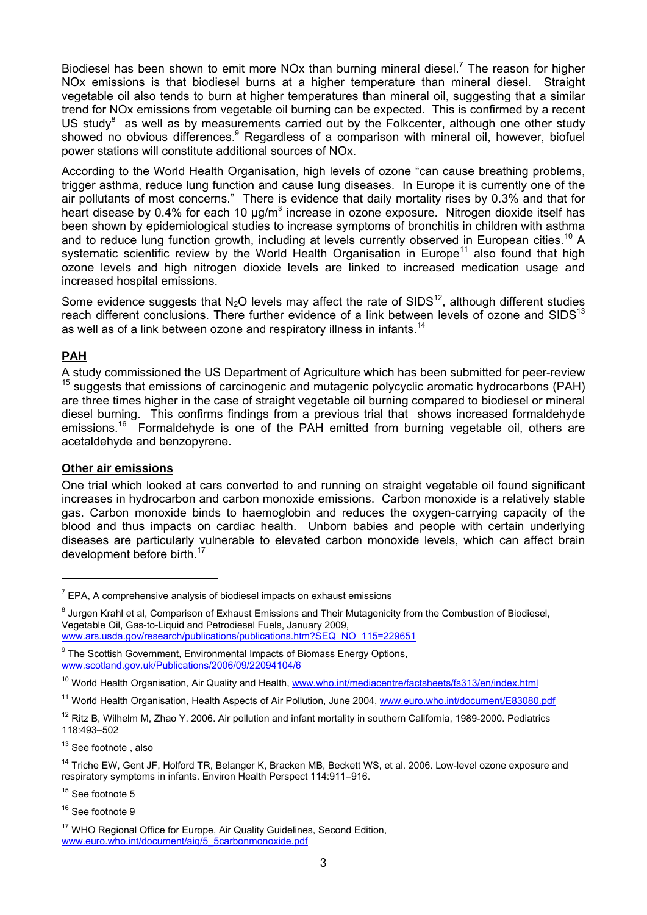Biodiesel has been shown to emit more NOx than burning mineral diesel.<sup>7</sup> The reason for higher NOx emissions is that biodiesel burns at a higher temperature than mineral diesel. Straight vegetable oil also tends to burn at higher temperatures than mineral oil, suggesting that a similar trend for NOx emissions from vegetable oil burning can be expected. This is confirmed by a recent US study $^8$  as well as by measurements carried out by the Folkcenter, although one other study showed no obvious differences.<sup>9</sup> Regardless of a comparison with mineral oil, however, biofuel power stations will constitute additional sources of NOx.

According to the World Health Organisation, high levels of ozone "can cause breathing problems, trigger asthma, reduce lung function and cause lung diseases. In Europe it is currently one of the air pollutants of most concerns." There is evidence that daily mortality rises by 0.3% and that for heart disease by 0.4% for each 10  $\mu$ g/m<sup>3</sup> increase in ozone exposure. Nitrogen dioxide itself has been shown by epidemiological studies to increase symptoms of bronchitis in children with asthma and to reduce lung function growth, including at levels currently observed in European cities.<sup>10</sup> A systematic scientific review by the World Health Organisation in Europe<sup>11</sup> also found that high ozone levels and high nitrogen dioxide levels are linked to increased medication usage and increased hospital emissions.

Some evidence suggests that  $N_2O$  levels may affect the rate of SIDS<sup>12</sup>, although different studies reach different conclusions. There further evidence of a link between levels of ozone and SIDS<sup>13</sup> as well as of a link between ozone and respiratory illness in infants.<sup>14</sup>

# **PAH**

 $\overline{a}$ 

A study commissioned the US Department of Agriculture which has been submitted for peer-review suggests that emissions of carcinogenic and mutagenic polycyclic aromatic hydrocarbons (PAH) are three times higher in the case of straight vegetable oil burning compared to biodiesel or mineral diesel burning. This confirms findings from a previous trial that shows increased formaldehyde emissions.<sup>16</sup> Formaldehyde is one of the PAH emitted from burning vegetable oil, others are acetaldehyde and benzopyrene.

# **Other air emissions**

One trial which looked at cars converted to and running on straight vegetable oil found significant increases in hydrocarbon and carbon monoxide emissions. Carbon monoxide is a relatively stable gas. Carbon monoxide binds to haemoglobin and reduces the oxygen-carrying capacity of the blood and thus impacts on cardiac health. Unborn babies and people with certain underlying diseases are particularly vulnerable to elevated carbon monoxide levels, which can affect brain development before birth.<sup>17</sup>

<sup>15</sup> See footnote 5

 $7$  EPA, A comprehensive analysis of biodiesel impacts on exhaust emissions

<sup>&</sup>lt;sup>8</sup> Jurgen Krahl et al, Comparison of Exhaust Emissions and Their Mutagenicity from the Combustion of Biodiesel, Vegetable Oil, Gas-to-Liquid and Petrodiesel Fuels, January 2009, www.ars.usda.gov/research/publications/publications.htm?SEQ\_NO\_115=229651

<sup>&</sup>lt;sup>9</sup> The Scottish Government, Environmental Impacts of Biomass Energy Options, www.scotland.gov.uk/Publications/2006/09/22094104/6

<sup>&</sup>lt;sup>10</sup> World Health Organisation, Air Quality and Health, www.who.int/mediacentre/factsheets/fs313/en/index.html

<sup>&</sup>lt;sup>11</sup> World Health Organisation, Health Aspects of Air Pollution, June 2004, www.euro.who.int/document/E83080.pdf

 $12$  Ritz B, Wilhelm M, Zhao Y. 2006. Air pollution and infant mortality in southern California, 1989-2000. Pediatrics 118:493–502

<sup>&</sup>lt;sup>13</sup> See footnote, also

<sup>&</sup>lt;sup>14</sup> Triche EW, Gent JF, Holford TR, Belanger K, Bracken MB, Beckett WS, et al. 2006. Low-level ozone exposure and respiratory symptoms in infants. Environ Health Perspect 114:911–916.

<sup>&</sup>lt;sup>16</sup> See footnote 9

<sup>&</sup>lt;sup>17</sup> WHO Regional Office for Europe, Air Quality Guidelines, Second Edition, www.euro.who.int/document/aiq/5\_5carbonmonoxide.pdf